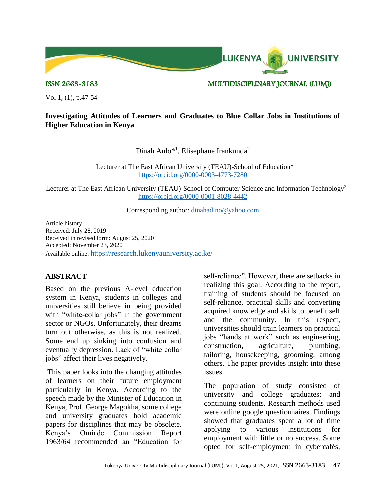

ISSN 2663-3183 MULTIDISCIPLINARY JOURNAL (LUMJ)

Vol 1, (1), p.47-54

## **Investigating Attitudes of Learners and Graduates to Blue Collar Jobs in Institutions of Higher Education in Kenya**

Dinah Aulo<sup>\*1</sup>, Elisephane Irankunda<sup>2</sup>

Lecturer at The East African University (TEAU)-School of Education<sup>\*1</sup> <https://orcid.org/0000-0003-4773-7280>

Lecturer at The East African University (TEAU)-School of Computer Science and Information Technology<sup>2</sup> <https://orcid.org/0000-0001-8028-4442>

Corresponding author: [dinahadino@yahoo.com](mailto:dinahadino@yahoo.com)

Article history Received: July 28, 2019 Received in revised form: August 25, 2020 Accepted: November 23, 2020 Available online: <https://research.lukenyauniversity.ac.ke/>

## **ABSTRACT**

Based on the previous A-level education system in Kenya, students in colleges and universities still believe in being provided with "white-collar jobs" in the government sector or NGOs. Unfortunately, their dreams turn out otherwise, as this is not realized. Some end up sinking into confusion and eventually depression. Lack of "white collar jobs" affect their lives negatively.

This paper looks into the changing attitudes of learners on their future employment particularly in Kenya. According to the speech made by the Minister of Education in Kenya, Prof. George Magokha, some college and university graduates hold academic papers for disciplines that may be obsolete. Kenya's Ominde Commission Report 1963/64 recommended an "Education for

self-reliance". However, there are setbacks in realizing this goal. According to the report, training of students should be focused on self-reliance, practical skills and converting acquired knowledge and skills to benefit self and the community. In this respect, universities should train learners on practical jobs "hands at work" such as engineering, construction, agriculture, plumbing, tailoring, housekeeping, grooming, among others. The paper provides insight into these issues.

The population of study consisted of university and college graduates; and continuing students. Research methods used were online google questionnaires. Findings showed that graduates spent a lot of time applying to various institutions for employment with little or no success. Some opted for self-employment in cybercafés,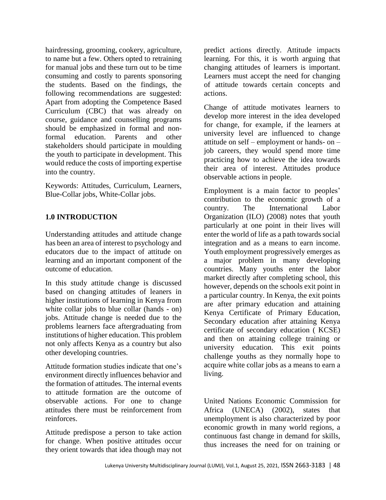hairdressing, grooming, cookery, agriculture, to name but a few. Others opted to retraining for manual jobs and these turn out to be time consuming and costly to parents sponsoring the students. Based on the findings, the following recommendations are suggested: Apart from adopting the Competence Based Curriculum (CBC) that was already on course, guidance and counselling programs should be emphasized in formal and nonformal education. Parents and other stakeholders should participate in moulding the youth to participate in development. This would reduce the costs of importing expertise into the country.

Keywords: Attitudes, Curriculum, Learners, Blue-Collar jobs, White-Collar jobs.

## **1.0 INTRODUCTION**

Understanding attitudes and attitude change has been an area of interest to psychology and educators due to the impact of attitude on learning and an important component of the outcome of education.

In this study attitude change is discussed based on changing attitudes of leaners in higher institutions of learning in Kenya from white collar jobs to blue collar (hands - on) jobs. Attitude change is needed due to the problems learners face aftergraduating from institutions of higher education. This problem not only affects Kenya as a country but also other developing countries.

Attitude formation studies indicate that one's environment directly influences behavior and the formation of attitudes. The internal events to attitude formation are the outcome of observable actions. For one to change attitudes there must be reinforcement from reinforces.

Attitude predispose a person to take action for change. When positive attitudes occur they orient towards that idea though may not

predict actions directly. Attitude impacts learning. For this, it is worth arguing that changing attitudes of learners is important. Learners must accept the need for changing of attitude towards certain concepts and actions.

Change of attitude motivates learners to develop more interest in the idea developed for change, for example, if the learners at university level are influenced to change attitude on self – employment or hands- on – job careers, they would spend more time practicing how to achieve the idea towards their area of interest. Attitudes produce observable actions in people.

Employment is a main factor to peoples' contribution to the economic growth of a country. The International Labor Organization (ILO) (2008) notes that youth particularly at one point in their lives will enter the world of life as a path towards social integration and as a means to earn income. Youth employment progressively emerges as a major problem in many developing countries. Many youths enter the labor market directly after completing school, this however, depends on the schools exit point in a particular country. In Kenya, the exit points are after primary education and attaining Kenya Certificate of Primary Education, Secondary education after attaining Kenya certificate of secondary education ( KCSE) and then on attaining college training or university education. This exit points challenge youths as they normally hope to acquire white collar jobs as a means to earn a living.

United Nations Economic Commission for Africa (UNECA) (2002), states that unemployment is also characterized by poor economic growth in many world regions, a continuous fast change in demand for skills, thus increases the need for on training or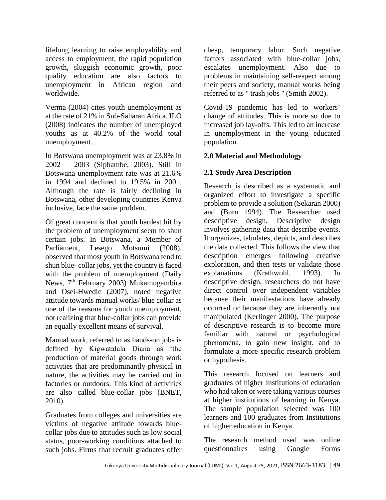lifelong learning to raise employability and access to employment, the rapid population growth, sluggish economic growth, poor quality education are also factors to unemployment in African region and worldwide.

Verma (2004) cites youth unemployment as at the rate of 21% in Sub-Saharan Africa. ILO (2008) indicates the number of unemployed youths as at 40.2% of the world total unemployment.

In Botswana unemployment was at 23.8% in 2002 – 2003 (Siphambe, 2003). Still in Botswana unemployment rate was at 21.6% in 1994 and declined to 19.5% in 2001. Although the rate is fairly declining in Botswana, other developing countries Kenya inclusive, face the same problem.

Of great concern is that youth hardest hit by the problem of unemployment seem to shun certain jobs. In Botswana, a Member of Parliament, Lesego Motsumi (2008), observed that most youth in Botswana tend to shun blue- collar jobs, yet the country is faced with the problem of unemployment (Daily News, 7<sup>th</sup> February 2003) Mukamugambira and Osei-Hwedie (2007), noted negative attitude towards manual works/ blue collar as one of the reasons for youth unemployment, not realizing that blue-collar jobs can provide an equally excellent means of survival.

Manual work, referred to as hands-on jobs is defined by Kigwatalala Diana as 'the production of material goods through work activities that are predominantly physical in nature, the activities may be carried out in factories or outdoors. This kind of activities are also called blue-collar jobs (BNET, 2010).

Graduates from colleges and universities are victims of negative attitude towards bluecollar jobs due to attitudes such as low social status, poor-working conditions attached to such jobs. Firms that recruit graduates offer

cheap, temporary labor. Such negative factors associated with blue-collar jobs, escalates unemployment. Also due to problems in maintaining self-respect among their peers and society, manual works being referred to as " trash jobs " (Smith 2002).

Covid-19 pandemic has led to workers' change of attitudes. This is more so due to increased job lay-offs. This led to an increase in unemployment in the young educated population.

# **2.0 Material and Methodology**

# **2.1 Study Area Description**

Research is described as a systematic and organized effort to investigate a specific problem to provide a solution (Sekaran 2000) and (Burn 1994). The Researcher used descriptive design. Descriptive design involves gathering data that describe events. It organizes, tabulates, depicts, and describes the data collected. This follows the view that description emerges following creative exploration, and then tests or validate those explanations (Krathwohl, 1993). In descriptive design, researchers do not have direct control over independent variables because their manifestations have already occurred or because they are inherently not manipulated (Kerlinger 2000). The purpose of descriptive research is to become more familiar with natural or psychological phenomena, to gain new insight, and to formulate a more specific research problem or hypothesis.

This research focused on learners and graduates of higher Institutions of education who had taken or were taking various courses at higher institutions of learning in Kenya. The sample population selected was 100 learners and 100 graduates from Institutions of higher education in Kenya.

The research method used was online questionnaires using Google Forms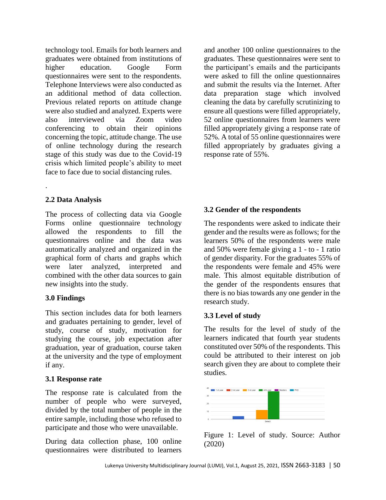technology tool. Emails for both learners and graduates were obtained from institutions of higher education. Google Form questionnaires were sent to the respondents. Telephone Interviews were also conducted as an additional method of data collection. Previous related reports on attitude change were also studied and analyzed. Experts were also interviewed via Zoom video conferencing to obtain their opinions concerning the topic, attitude change. The use of online technology during the research stage of this study was due to the Covid-19 crisis which limited people's ability to meet face to face due to social distancing rules.

# **2.2 Data Analysis**

.

The process of collecting data via Google Forms online questionnaire technology allowed the respondents to fill the questionnaires online and the data was automatically analyzed and organized in the graphical form of charts and graphs which were later analyzed, interpreted and combined with the other data sources to gain new insights into the study.

## **3.0 Findings**

This section includes data for both learners and graduates pertaining to gender, level of study, course of study, motivation for studying the course, job expectation after graduation, year of graduation, course taken at the university and the type of employment if any.

## **3.1 Response rate**

The response rate is calculated from the number of people who were surveyed, divided by the total number of people in the entire sample, including those who refused to participate and those who were unavailable.

During data collection phase, 100 online questionnaires were distributed to learners

and another 100 online questionnaires to the graduates. These questionnaires were sent to the participant's emails and the participants were asked to fill the online questionnaires and submit the results via the Internet. After data preparation stage which involved cleaning the data by carefully scrutinizing to ensure all questions were filled appropriately, 52 online questionnaires from learners were filled appropriately giving a response rate of 52%. A total of 55 online questionnaires were filled appropriately by graduates giving a response rate of 55%.

# **3.2 Gender of the respondents**

The respondents were asked to indicate their gender and the results were as follows; for the learners 50% of the respondents were male and 50% were female giving a 1 - to - 1 ratio of gender disparity. For the graduates 55% of the respondents were female and 45% were male. This almost equitable distribution of the gender of the respondents ensures that there is no bias towards any one gender in the research study.

## **3.3 Level of study**

The results for the level of study of the learners indicated that fourth year students constituted over 50% of the respondents. This could be attributed to their interest on job search given they are about to complete their studies.



Figure 1: Level of study. Source: Author (2020)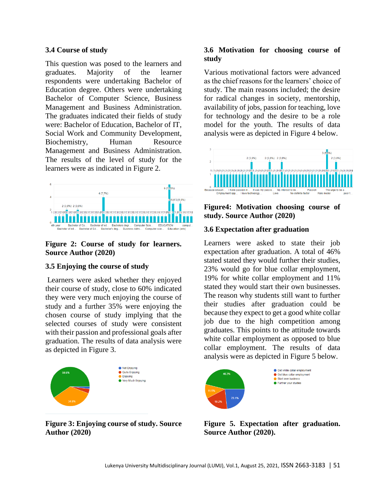### **3.4 Course of study**

This question was posed to the learners and graduates. Majority of the learner respondents were undertaking Bachelor of Education degree. Others were undertaking Bachelor of Computer Science, Business Management and Business Administration. The graduates indicated their fields of study were: Bachelor of Education, Bachelor of IT, Social Work and Community Development, Biochemistry, Human Resource Management and Business Administration. The results of the level of study for the learners were as indicated in Figure 2.



## **Figure 2: Course of study for learners. Source Author (2020)**

## **3.5 Enjoying the course of study**

Learners were asked whether they enjoyed their course of study, close to 60% indicated they were very much enjoying the course of study and a further 35% were enjoying the chosen course of study implying that the selected courses of study were consistent with their passion and professional goals after graduation. The results of data analysis were as depicted in Figure 3.



**Figure 3: Enjoying course of study. Source Author (2020)**

## **3.6 Motivation for choosing course of study**

Various motivational factors were advanced as the chief reasons for the learners' choice of study. The main reasons included; the desire for radical changes in society, mentorship, availability of jobs, passion for teaching, love for technology and the desire to be a role model for the youth. The results of data analysis were as depicted in Figure 4 below.



**Figure4: Motivation choosing course of study. Source Author (2020)**

#### **3.6 Expectation after graduation**

Learners were asked to state their job expectation after graduation. A total of 46% stated stated they would further their studies, 23% would go for blue collar employment, 19% for white collar employment and 11% stated they would start their own businesses. The reason why students still want to further their studies after graduation could be because they expect to get a good white collar job due to the high competition among graduates. This points to the attitude towards white collar employment as opposed to blue collar employment. The results of data analysis were as depicted in Figure 5 below.



**Figure 5. Expectation after graduation. Source Author (2020).**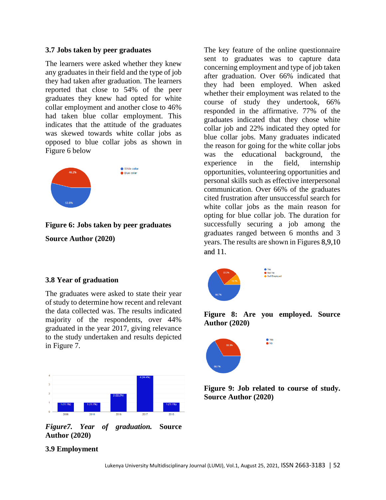#### **3.7 Jobs taken by peer graduates**

The learners were asked whether they knew any graduates in their field and the type of job they had taken after graduation. The learners reported that close to 54% of the peer graduates they knew had opted for white collar employment and another close to 46% had taken blue collar employment. This indicates that the attitude of the graduates was skewed towards white collar jobs as opposed to blue collar jobs as shown in Figure 6 below



# **Figure 6: Jobs taken by peer graduates Source Author (2020)**

#### **3.8 Year of graduation**

The graduates were asked to state their year of study to determine how recent and relevant the data collected was. The results indicated majority of the respondents, over 44% graduated in the year 2017, giving relevance to the study undertaken and results depicted in Figure 7.



*Figure7. Year of graduation.* **Source Author (2020)**

## **3.9 Employment**

The key feature of the online questionnaire sent to graduates was to capture data concerning employment and type of job taken after graduation. Over 66% indicated that they had been employed. When asked whether their employment was related to the course of study they undertook, 66% responded in the affirmative. 77% of the graduates indicated that they chose white collar job and 22% indicated they opted for blue collar jobs. Many graduates indicated the reason for going for the white collar jobs was the educational background, the experience in the field, internship opportunities, volunteering opportunities and personal skills such as effective interpersonal communication. Over 66% of the graduates cited frustration after unsuccessful search for white collar jobs as the main reason for opting for blue collar job. The duration for successfully securing a job among the graduates ranged between 6 months and 3 years. The results are shown in Figures 8,9,10 and 11.







**Figure 9: Job related to course of study. Source Author (2020)**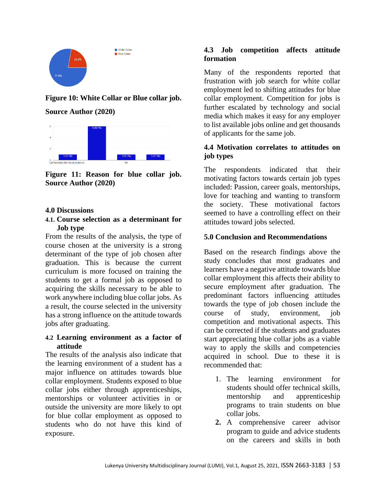

# **Figure 10: White Collar or Blue collar job. Source Author (2020)**



**Figure 11: Reason for blue collar job. Source Author (2020)**

#### **4.0 Discussions**

## **4.1. Course selection as a determinant for Job type**

From the results of the analysis, the type of course chosen at the university is a strong determinant of the type of job chosen after graduation. This is because the current curriculum is more focused on training the students to get a formal job as opposed to acquiring the skills necessary to be able to work anywhere including blue collar jobs. As a result, the course selected in the university has a strong influence on the attitude towards jobs after graduating.

## **4.2 Learning environment as a factor of attitude**

The results of the analysis also indicate that the learning environment of a student has a major influence on attitudes towards blue collar employment. Students exposed to blue collar jobs either through apprenticeships, mentorships or volunteer activities in or outside the university are more likely to opt for blue collar employment as opposed to students who do not have this kind of exposure.

# **4.3 Job competition affects attitude formation**

Many of the respondents reported that frustration with job search for white collar employment led to shifting attitudes for blue collar employment. Competition for jobs is further escalated by technology and social media which makes it easy for any employer to list available jobs online and get thousands of applicants for the same job.

# **4.4 Motivation correlates to attitudes on job types**

The respondents indicated that their motivating factors towards certain job types included: Passion, career goals, mentorships, love for teaching and wanting to transform the society. These motivational factors seemed to have a controlling effect on their attitudes toward jobs selected.

## **5.0 Conclusion and Recommendations**

Based on the research findings above the study concludes that most graduates and learners have a negative attitude towards blue collar employment this affects their ability to secure employment after graduation. The predominant factors influencing attitudes towards the type of job chosen include the course of study, environment, job competition and motivational aspects. This can be corrected if the students and graduates start appreciating blue collar jobs as a viable way to apply the skills and competencies acquired in school. Due to these it is recommended that:

- 1. The learning environment for students should offer technical skills, mentorship and apprenticeship programs to train students on blue collar jobs.
- **2.** A comprehensive career advisor program to guide and advice students on the careers and skills in both